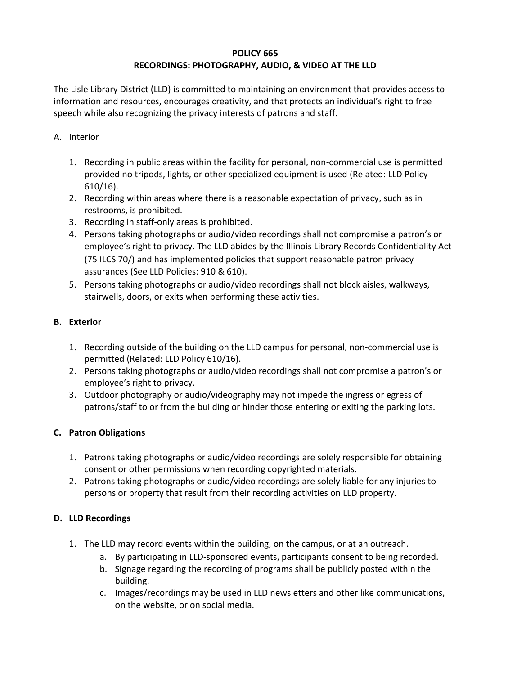### **POLICY 665 RECORDINGS: PHOTOGRAPHY, AUDIO, & VIDEO AT THE LLD**

The Lisle Library District (LLD) is committed to maintaining an environment that provides access to information and resources, encourages creativity, and that protects an individual's right to free speech while also recognizing the privacy interests of patrons and staff.

### A. Interior

- 1. Recording in public areas within the facility for personal, non-commercial use is permitted provided no tripods, lights, or other specialized equipment is used (Related: LLD Policy 610/16).
- 2. Recording within areas where there is a reasonable expectation of privacy, such as in restrooms, is prohibited.
- 3. Recording in staff-only areas is prohibited.
- 4. Persons taking photographs or audio/video recordings shall not compromise a patron's or employee's right to privacy. The LLD abides by the Illinois Library Records Confidentiality Act (75 ILCS 70/) and has implemented policies that support reasonable patron privacy assurances (See LLD Policies: 910 & 610).
- 5. Persons taking photographs or audio/video recordings shall not block aisles, walkways, stairwells, doors, or exits when performing these activities.

# **B. Exterior**

- 1. Recording outside of the building on the LLD campus for personal, non-commercial use is permitted (Related: LLD Policy 610/16).
- 2. Persons taking photographs or audio/video recordings shall not compromise a patron's or employee's right to privacy.
- 3. Outdoor photography or audio/videography may not impede the ingress or egress of patrons/staff to or from the building or hinder those entering or exiting the parking lots.

# **C. Patron Obligations**

- 1. Patrons taking photographs or audio/video recordings are solely responsible for obtaining consent or other permissions when recording copyrighted materials.
- 2. Patrons taking photographs or audio/video recordings are solely liable for any injuries to persons or property that result from their recording activities on LLD property.

# **D. LLD Recordings**

- 1. The LLD may record events within the building, on the campus, or at an outreach.
	- a. By participating in LLD-sponsored events, participants consent to being recorded.
	- b. Signage regarding the recording of programs shall be publicly posted within the building.
	- c. Images/recordings may be used in LLD newsletters and other like communications, on the website, or on social media.